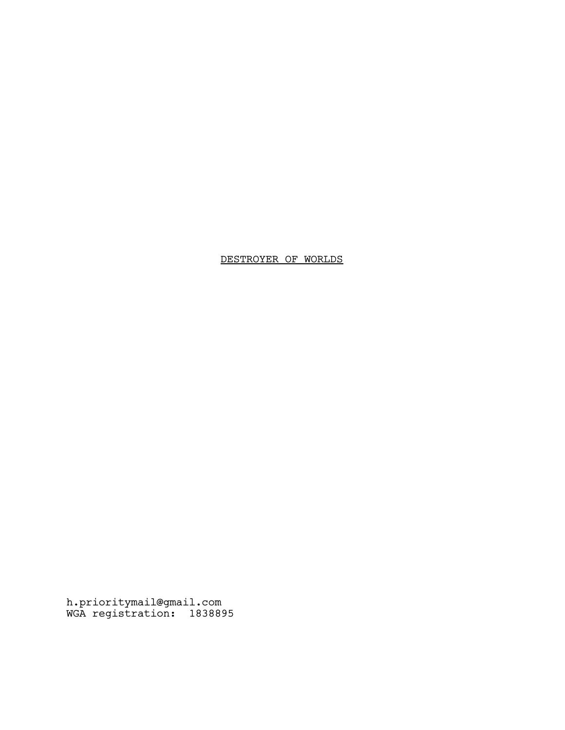# DESTROYER OF WORLDS

h.prioritymail@gmail.com WGA registration: 1838895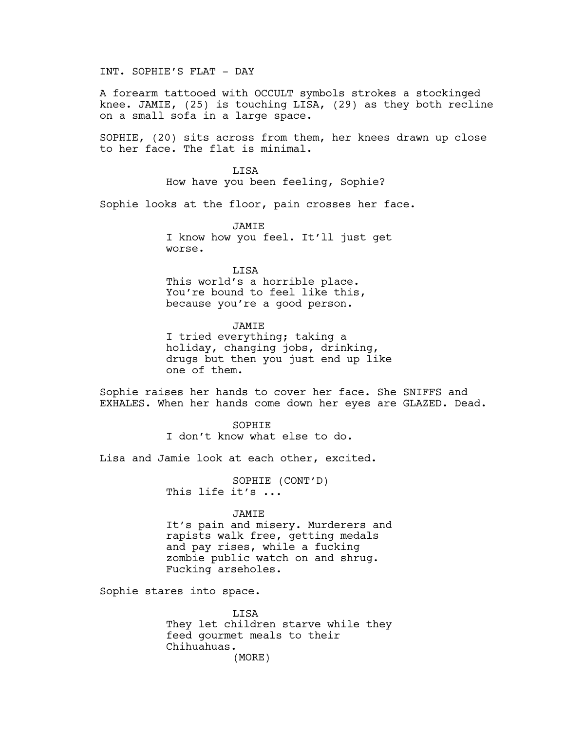INT. SOPHIE'S FLAT - DAY

A forearm tattooed with OCCULT symbols strokes a stockinged knee. JAMIE, (25) is touching LISA, (29) as they both recline on a small sofa in a large space.

SOPHIE, (20) sits across from them, her knees drawn up close to her face. The flat is minimal.

> **T.TSA** How have you been feeling, Sophie?

Sophie looks at the floor, pain crosses her face.

JAMIE I know how you feel. It'll just get worse.

LISA

This world's a horrible place. You're bound to feel like this, because you're a good person.

JAMIE I tried everything; taking a holiday, changing jobs, drinking, drugs but then you just end up like one of them.

Sophie raises her hands to cover her face. She SNIFFS and EXHALES. When her hands come down her eyes are GLAZED. Dead.

> SOPHIE I don't know what else to do.

Lisa and Jamie look at each other, excited.

SOPHIE (CONT'D) This life it's ...

JAMIE

It's pain and misery. Murderers and rapists walk free, getting medals and pay rises, while a fucking zombie public watch on and shrug. Fucking arseholes.

Sophie stares into space.

LISA They let children starve while they feed gourmet meals to their Chihuahuas. (MORE)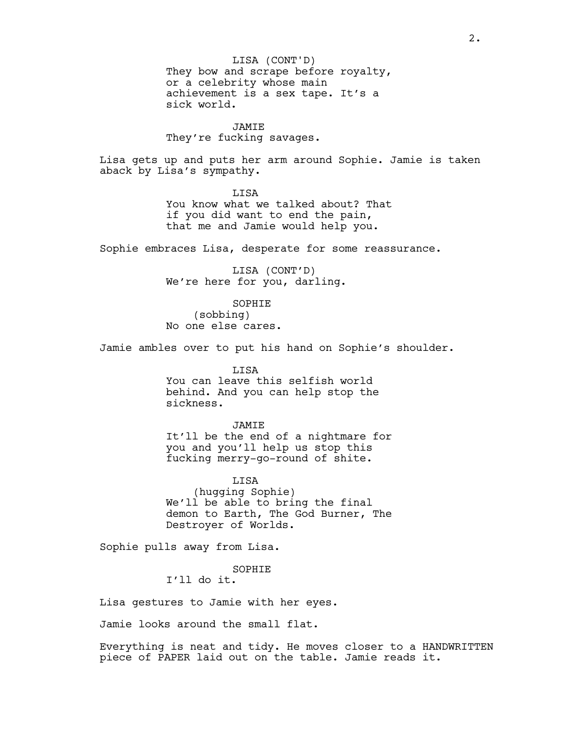They bow and scrape before royalty, or a celebrity whose main achievement is a sex tape. It's a sick world. LISA (CONT'D)

### JAMIE

They're fucking savages.

Lisa gets up and puts her arm around Sophie. Jamie is taken aback by Lisa's sympathy.

> LISA You know what we talked about? That if you did want to end the pain, that me and Jamie would help you.

Sophie embraces Lisa, desperate for some reassurance.

LISA (CONT'D) We're here for you, darling.

SOPHIE (sobbing) No one else cares.

Jamie ambles over to put his hand on Sophie's shoulder.

LISA You can leave this selfish world behind. And you can help stop the sickness.

#### JAMIE

It'll be the end of a nightmare for you and you'll help us stop this fucking merry-go-round of shite.

LISA (hugging Sophie) We'll be able to bring the final demon to Earth, The God Burner, The Destroyer of Worlds.

Sophie pulls away from Lisa.

SOPHIE I'll do it.

Lisa gestures to Jamie with her eyes.

Jamie looks around the small flat.

Everything is neat and tidy. He moves closer to a HANDWRITTEN piece of PAPER laid out on the table. Jamie reads it.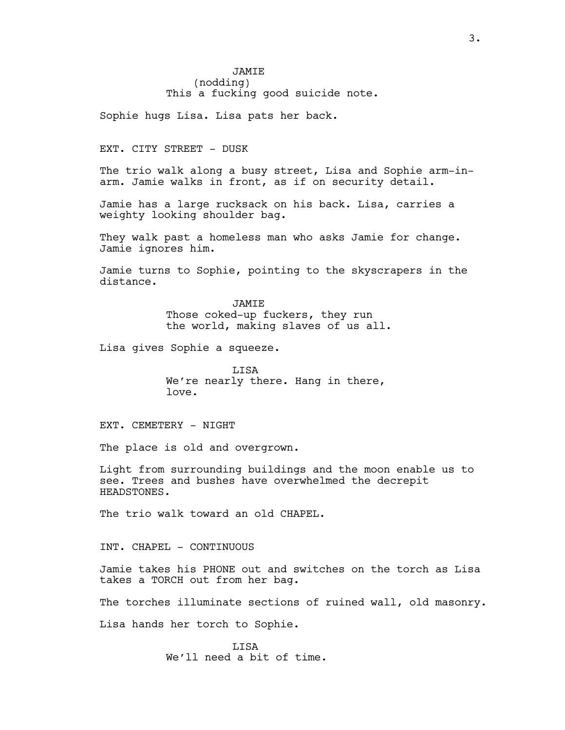## **JAMTE** (nodding) This a fucking good suicide note.

Sophie hugs Lisa. Lisa pats her back.

#### EXT. CITY STREET - DUSK

The trio walk along a busy street, Lisa and Sophie arm-inarm. Jamie walks in front, as if on security detail.

Jamie has a large rucksack on his back. Lisa, carries a weighty looking shoulder bag.

They walk past a homeless man who asks Jamie for change. Jamie ignores him.

Jamie turns to Sophie, pointing to the skyscrapers in the distance.

> JAMIE Those coked-up fuckers, they run the world, making slaves of us all.

Lisa gives Sophie a squeeze.

LISA We're nearly there. Hang in there, love.

EXT. CEMETERY - NIGHT

The place is old and overgrown.

Light from surrounding buildings and the moon enable us to see. Trees and bushes have overwhelmed the decrepit HEADSTONES.

The trio walk toward an old CHAPEL.

INT. CHAPEL - CONTINUOUS

Jamie takes his PHONE out and switches on the torch as Lisa takes a TORCH out from her bag.

The torches illuminate sections of ruined wall, old masonry.

Lisa hands her torch to Sophie.

LISA We'll need a bit of time.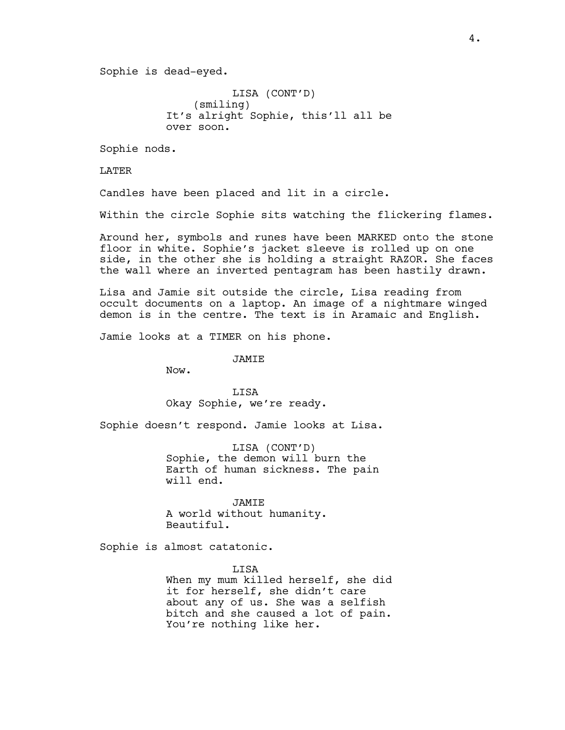Sophie is dead-eyed.

LISA (CONT'D) (smiling) It's alright Sophie, this'll all be over soon.

Sophie nods.

LATER

Candles have been placed and lit in a circle.

Within the circle Sophie sits watching the flickering flames.

Around her, symbols and runes have been MARKED onto the stone floor in white. Sophie's jacket sleeve is rolled up on one side, in the other she is holding a straight RAZOR. She faces the wall where an inverted pentagram has been hastily drawn.

Lisa and Jamie sit outside the circle, Lisa reading from occult documents on a laptop. An image of a nightmare winged demon is in the centre. The text is in Aramaic and English.

Jamie looks at a TIMER on his phone.

JAMIE

Now.

LISA Okay Sophie, we're ready.

Sophie doesn't respond. Jamie looks at Lisa.

LISA (CONT'D) Sophie, the demon will burn the Earth of human sickness. The pain will end.

JAMIE A world without humanity. Beautiful.

Sophie is almost catatonic.

LISA When my mum killed herself, she did it for herself, she didn't care about any of us. She was a selfish bitch and she caused a lot of pain. You're nothing like her.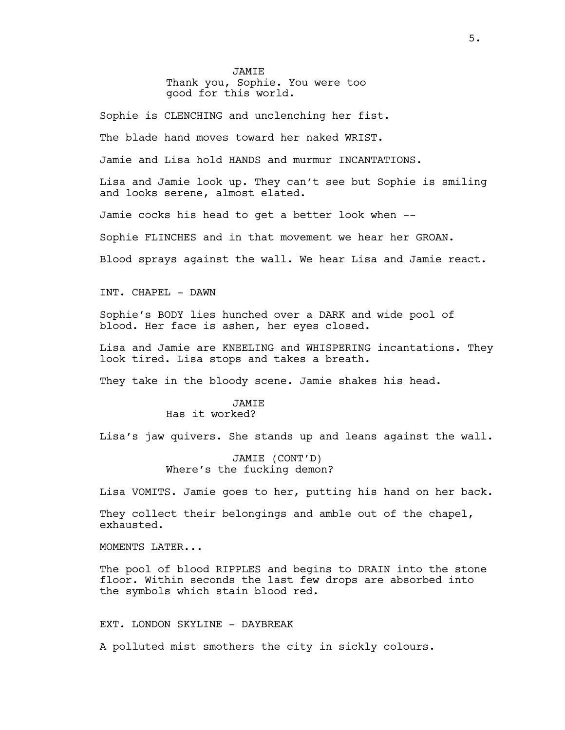**JAMTE** Thank you, Sophie. You were too good for this world.

Sophie is CLENCHING and unclenching her fist.

The blade hand moves toward her naked WRIST.

Jamie and Lisa hold HANDS and murmur INCANTATIONS.

Lisa and Jamie look up. They can't see but Sophie is smiling and looks serene, almost elated.

Jamie cocks his head to get a better look when --

Sophie FLINCHES and in that movement we hear her GROAN.

Blood sprays against the wall. We hear Lisa and Jamie react.

INT. CHAPEL - DAWN

Sophie's BODY lies hunched over a DARK and wide pool of blood. Her face is ashen, her eyes closed.

Lisa and Jamie are KNEELING and WHISPERING incantations. They look tired. Lisa stops and takes a breath.

They take in the bloody scene. Jamie shakes his head.

### **JAMTE** Has it worked?

Lisa's jaw quivers. She stands up and leans against the wall.

JAMIE (CONT'D) Where's the fucking demon?

Lisa VOMITS. Jamie goes to her, putting his hand on her back.

They collect their belongings and amble out of the chapel, exhausted.

MOMENTS LATER...

The pool of blood RIPPLES and begins to DRAIN into the stone floor. Within seconds the last few drops are absorbed into the symbols which stain blood red.

### EXT. LONDON SKYLINE - DAYBREAK

A polluted mist smothers the city in sickly colours.

5.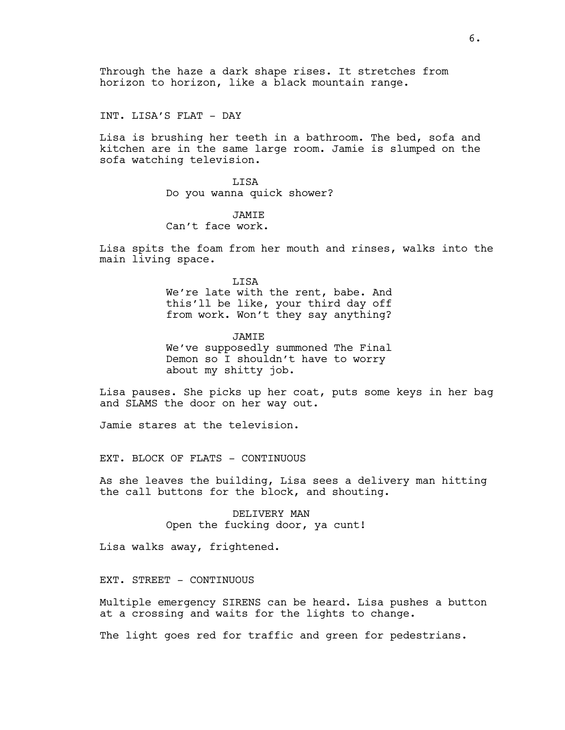Through the haze a dark shape rises. It stretches from horizon to horizon, like a black mountain range.

INT. LISA'S FLAT - DAY

Lisa is brushing her teeth in a bathroom. The bed, sofa and kitchen are in the same large room. Jamie is slumped on the sofa watching television.

> LISA Do you wanna quick shower?

**JAMTE** Can't face work.

Lisa spits the foam from her mouth and rinses, walks into the main living space.

> LISA We're late with the rent, babe. And this'll be like, your third day off from work. Won't they say anything?

> **JAMTE** We've supposedly summoned The Final Demon so I shouldn't have to worry about my shitty job.

Lisa pauses. She picks up her coat, puts some keys in her bag and SLAMS the door on her way out.

Jamie stares at the television.

EXT. BLOCK OF FLATS - CONTINUOUS

As she leaves the building, Lisa sees a delivery man hitting the call buttons for the block, and shouting.

> DELIVERY MAN Open the fucking door, ya cunt!

Lisa walks away, frightened.

EXT. STREET - CONTINUOUS

Multiple emergency SIRENS can be heard. Lisa pushes a button at a crossing and waits for the lights to change.

The light goes red for traffic and green for pedestrians.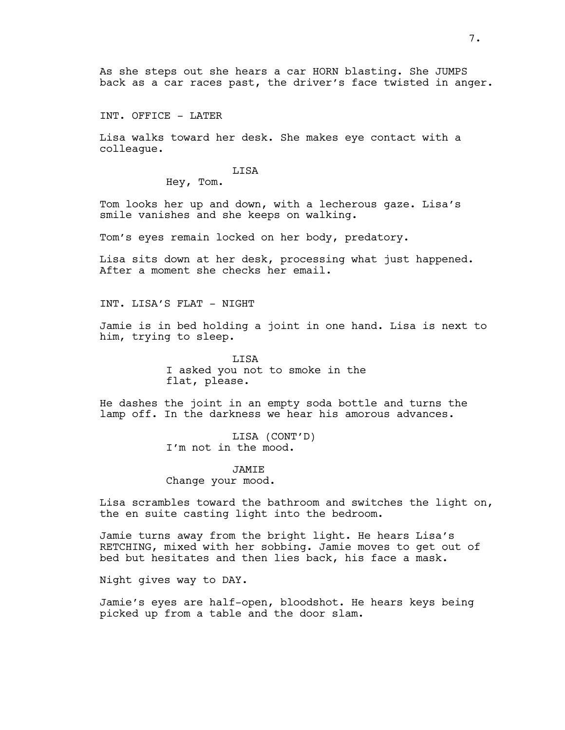As she steps out she hears a car HORN blasting. She JUMPS back as a car races past, the driver's face twisted in anger.

INT. OFFICE - LATER

Lisa walks toward her desk. She makes eye contact with a colleague.

### **T.TSA**

Hey, Tom.

Tom looks her up and down, with a lecherous gaze. Lisa's smile vanishes and she keeps on walking.

Tom's eyes remain locked on her body, predatory.

Lisa sits down at her desk, processing what just happened. After a moment she checks her email.

INT. LISA'S FLAT - NIGHT

Jamie is in bed holding a joint in one hand. Lisa is next to him, trying to sleep.

> LISA I asked you not to smoke in the flat, please.

He dashes the joint in an empty soda bottle and turns the lamp off. In the darkness we hear his amorous advances.

> LISA (CONT'D) I'm not in the mood.

**JAMTE** Change your mood.

Lisa scrambles toward the bathroom and switches the light on, the en suite casting light into the bedroom.

Jamie turns away from the bright light. He hears Lisa's RETCHING, mixed with her sobbing. Jamie moves to get out of bed but hesitates and then lies back, his face a mask.

Night gives way to DAY.

Jamie's eyes are half-open, bloodshot. He hears keys being picked up from a table and the door slam.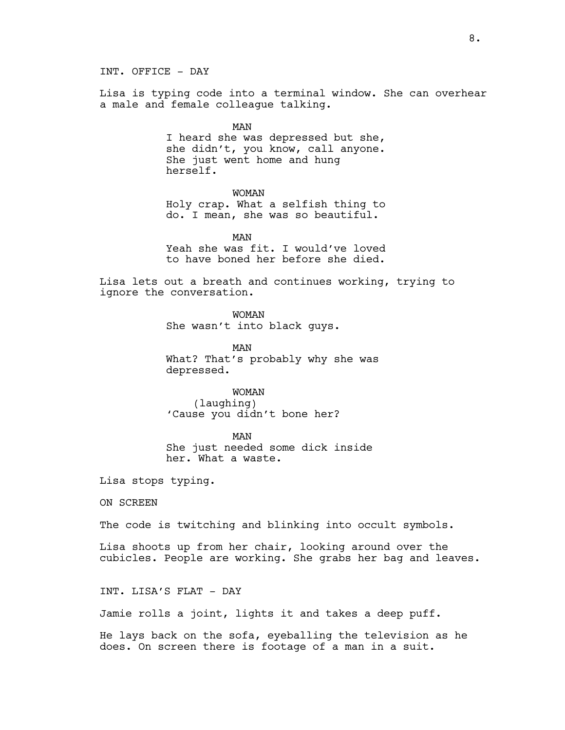INT. OFFICE - DAY

Lisa is typing code into a terminal window. She can overhear a male and female colleague talking.

> MAN I heard she was depressed but she, she didn't, you know, call anyone. She just went home and hung herself.

> > WOMAN

Holy crap. What a selfish thing to do. I mean, she was so beautiful.

MAN Yeah she was fit. I would've loved to have boned her before she died.

Lisa lets out a breath and continues working, trying to ignore the conversation.

> WOMAN She wasn't into black guys.

MAN What? That's probably why she was depressed.

WOMAN (laughing) 'Cause you didn't bone her?

MAN She just needed some dick inside her. What a waste.

Lisa stops typing.

ON SCREEN

The code is twitching and blinking into occult symbols.

Lisa shoots up from her chair, looking around over the cubicles. People are working. She grabs her bag and leaves.

INT. LISA'S FLAT - DAY

Jamie rolls a joint, lights it and takes a deep puff.

He lays back on the sofa, eyeballing the television as he does. On screen there is footage of a man in a suit.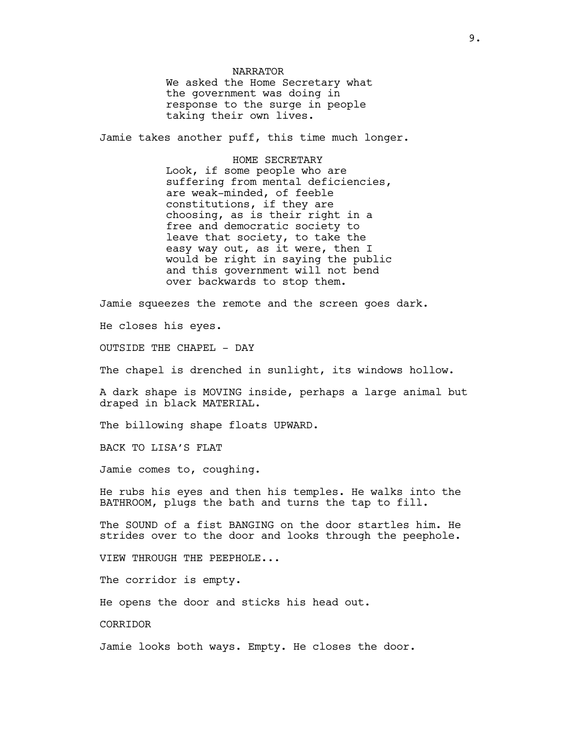NARRATOR We asked the Home Secretary what the government was doing in response to the surge in people taking their own lives.

Jamie takes another puff, this time much longer.

HOME SECRETARY Look, if some people who are suffering from mental deficiencies, are weak-minded, of feeble constitutions, if they are choosing, as is their right in a free and democratic society to leave that society, to take the easy way out, as it were, then I would be right in saying the public and this government will not bend over backwards to stop them.

Jamie squeezes the remote and the screen goes dark.

He closes his eyes.

OUTSIDE THE CHAPEL - DAY

The chapel is drenched in sunlight, its windows hollow.

A dark shape is MOVING inside, perhaps a large animal but draped in black MATERIAL.

The billowing shape floats UPWARD.

BACK TO LISA'S FLAT

Jamie comes to, coughing.

He rubs his eyes and then his temples. He walks into the BATHROOM, plugs the bath and turns the tap to fill.

The SOUND of a fist BANGING on the door startles him. He strides over to the door and looks through the peephole.

VIEW THROUGH THE PEEPHOLE...

The corridor is empty.

He opens the door and sticks his head out.

CORRIDOR

Jamie looks both ways. Empty. He closes the door.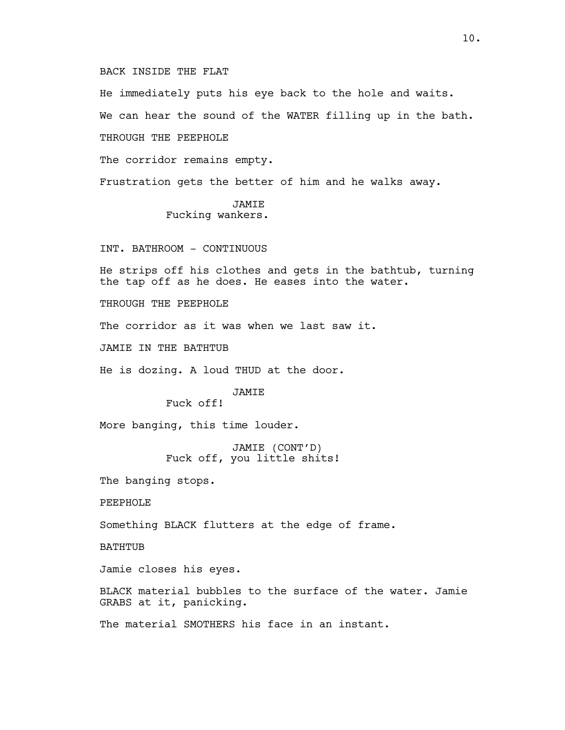### BACK INSIDE THE FLAT

He immediately puts his eye back to the hole and waits. We can hear the sound of the WATER filling up in the bath. THROUGH THE PEEPHOLE The corridor remains empty. Frustration gets the better of him and he walks away. JAMIE Fucking wankers.

# INT. BATHROOM - CONTINUOUS

He strips off his clothes and gets in the bathtub, turning the tap off as he does. He eases into the water.

THROUGH THE PEEPHOLE

The corridor as it was when we last saw it.

JAMIE IN THE BATHTUB

He is dozing. A loud THUD at the door.

JAMIE

Fuck off!

More banging, this time louder.

JAMIE (CONT'D) Fuck off, you little shits!

The banging stops.

PEEPHOLE

Something BLACK flutters at the edge of frame.

BATHTUB

Jamie closes his eyes.

BLACK material bubbles to the surface of the water. Jamie GRABS at it, panicking.

The material SMOTHERS his face in an instant.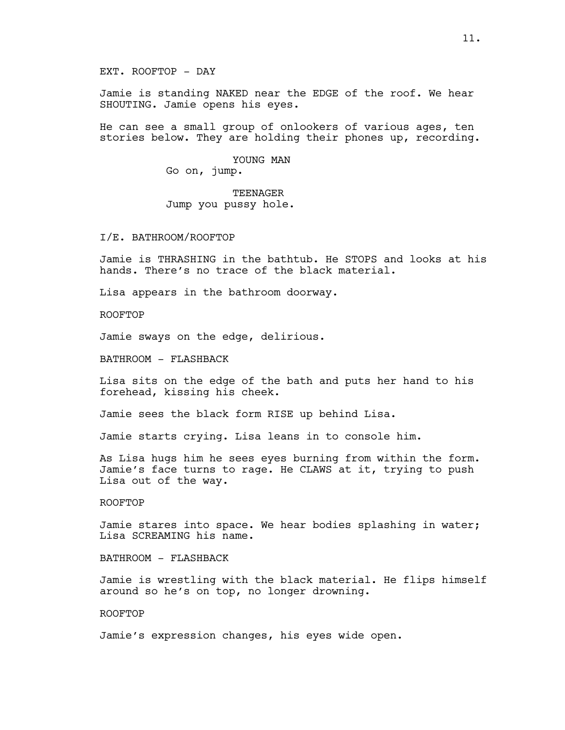Jamie is standing NAKED near the EDGE of the roof. We hear SHOUTING. Jamie opens his eyes.

He can see a small group of onlookers of various ages, ten stories below. They are holding their phones up, recording.

> YOUNG MAN Go on, jump.

TEENAGER Jump you pussy hole.

I/E. BATHROOM/ROOFTOP

Jamie is THRASHING in the bathtub. He STOPS and looks at his hands. There's no trace of the black material.

Lisa appears in the bathroom doorway.

ROOFTOP

Jamie sways on the edge, delirious.

BATHROOM - FLASHBACK

Lisa sits on the edge of the bath and puts her hand to his forehead, kissing his cheek.

Jamie sees the black form RISE up behind Lisa.

Jamie starts crying. Lisa leans in to console him.

As Lisa hugs him he sees eyes burning from within the form. Jamie's face turns to rage. He CLAWS at it, trying to push Lisa out of the way.

ROOFTOP

Jamie stares into space. We hear bodies splashing in water; Lisa SCREAMING his name.

BATHROOM - FLASHBACK

Jamie is wrestling with the black material. He flips himself around so he's on top, no longer drowning.

ROOFTOP

Jamie's expression changes, his eyes wide open.